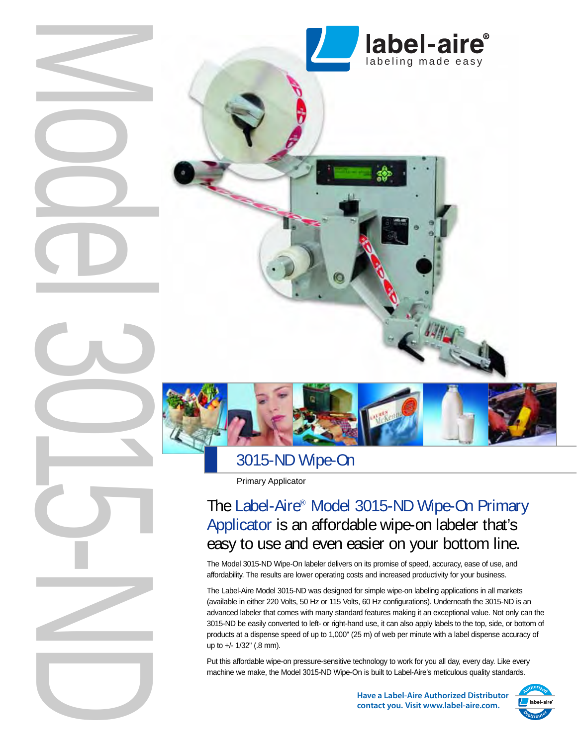



3015-ND Wipe-On

Primary Applicator

# The Label-Aire® Model 3015-ND Wipe-On Primary Applicator is an affordable wipe-on labeler that's easy to use and even easier on your bottom line.

The Model 3015-ND Wipe-On labeler delivers on its promise of speed, accuracy, ease of use, and affordability. The results are lower operating costs and increased productivity for your business.

The Label-Aire Model 3015-ND was designed for simple wipe-on labeling applications in all markets (available in either 220 Volts, 50 Hz or 115 Volts, 60 Hz configurations). Underneath the 3015-ND is an advanced labeler that comes with many standard features making it an exceptional value. Not only can the 3015-ND be easily converted to left- or right-hand use, it can also apply labels to the top, side, or bottom of products at a dispense speed of up to 1,000" (25 m) of web per minute with a label dispense accuracy of up to +/- 1/32" (.8 mm).

Put this affordable wipe-on pressure-sensitive technology to work for you all day, every day. Like every machine we make, the Model 3015-ND Wipe-On is built to Label-Aire's meticulous quality standards.

> **Have a Label-Aire Authorized Distributor contact you. Visit www.label-aire.com.**